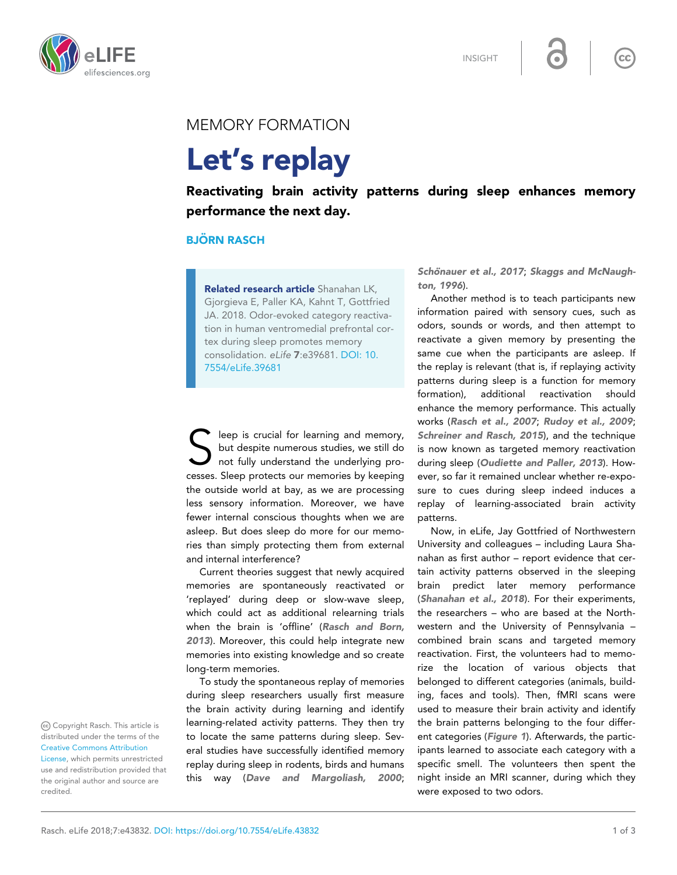INSIGHT



## MEMORY FORMATION

## Let's replay

Reactivating brain activity patterns during sleep enhances memory performance the next day.

## **BJÖRN RASCH**

Related research article Shanahan LK, Gjorgieva E, Paller KA, Kahnt T, Gottfried JA. 2018. Odor-evoked category reactivation in human ventromedial prefrontal cortex during sleep promotes memory consolidation. eLife 7:e39681. DOI: [10.](http://doi.org/10.7554/eLife.39681) [7554/eLife.39681](http://doi.org/10.7554/eLife.39681)

S leep is crucial for learning and memory,<br>but despite numerous studies, we still do<br>not fully understand the underlying pro-<br>cesses. Sleep protects our memories by keeping leep is crucial for learning and memory, but despite numerous studies, we still do not fully understand the underlying prothe outside world at bay, as we are processing less sensory information. Moreover, we have fewer internal conscious thoughts when we are asleep. But does sleep do more for our memories than simply protecting them from external and internal interference?

Current theories suggest that newly acquired memories are spontaneously reactivated or 'replayed' during deep or slow-wave sleep, which could act as additional relearning trials when the brain is 'offline' ([Rasch and Born,](#page-2-0) [2013](#page-2-0)). Moreover, this could help integrate new memories into existing knowledge and so create long-term memories.

To study the spontaneous replay of memories during sleep researchers usually first measure the brain activity during learning and identify learning-related activity patterns. They then try to locate the same patterns during sleep. Several studies have successfully identified memory replay during sleep in rodents, birds and humans this way ([Dave and Margoliash, 2000](#page-2-0);

Schönauer et al., 2017; [Skaggs and McNaugh](#page-2-0)[ton, 1996](#page-2-0)).

 $cc$ 

Another method is to teach participants new information paired with sensory cues, such as odors, sounds or words, and then attempt to reactivate a given memory by presenting the same cue when the participants are asleep. If the replay is relevant (that is, if replaying activity patterns during sleep is a function for memory formation), additional reactivation should enhance the memory performance. This actually works ([Rasch et al., 2007](#page-2-0); [Rudoy et al., 2009](#page-2-0); [Schreiner and Rasch, 2015](#page-2-0)), and the technique is now known as targeted memory reactivation during sleep ([Oudiette and Paller, 2013](#page-2-0)). However, so far it remained unclear whether re-exposure to cues during sleep indeed induces a replay of learning-associated brain activity patterns.

Now, in eLife, Jay Gottfried of Northwestern University and colleagues – including Laura Shanahan as first author – report evidence that certain activity patterns observed in the sleeping brain predict later memory performance ([Shanahan et al., 2018](#page-2-0)). For their experiments, the researchers – who are based at the Northwestern and the University of Pennsylvania – combined brain scans and targeted memory reactivation. First, the volunteers had to memorize the location of various objects that belonged to different categories (animals, building, faces and tools). Then, fMRI scans were used to measure their brain activity and identify the brain patterns belonging to the four different categories ([Figure 1](#page-1-0)). Afterwards, the participants learned to associate each category with a specific smell. The volunteers then spent the night inside an MRI scanner, during which they were exposed to two odors.

Copyright Rasch. This article is distributed under the terms of the [Creative Commons Attribution](http://creativecommons.org/licenses/by/4.0/)

[License](http://creativecommons.org/licenses/by/4.0/), which permits unrestricted use and redistribution provided that the original author and source are credited.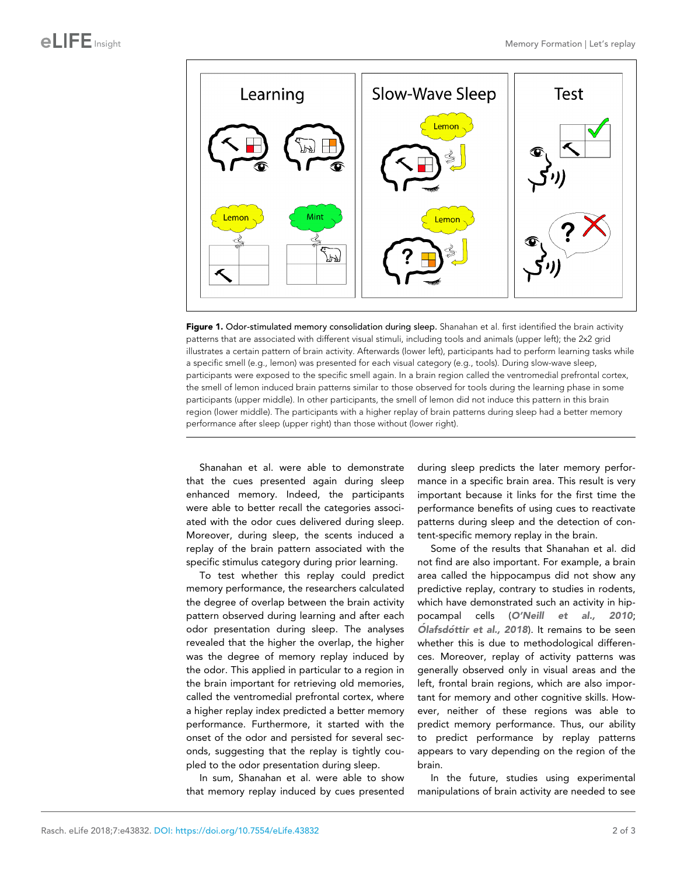<span id="page-1-0"></span>

Figure 1. Odor-stimulated memory consolidation during sleep. Shanahan et al. first identified the brain activity patterns that are associated with different visual stimuli, including tools and animals (upper left); the 2x2 grid illustrates a certain pattern of brain activity. Afterwards (lower left), participants had to perform learning tasks while a specific smell (e.g., lemon) was presented for each visual category (e.g., tools). During slow-wave sleep, participants were exposed to the specific smell again. In a brain region called the ventromedial prefrontal cortex, the smell of lemon induced brain patterns similar to those observed for tools during the learning phase in some participants (upper middle). In other participants, the smell of lemon did not induce this pattern in this brain region (lower middle). The participants with a higher replay of brain patterns during sleep had a better memory performance after sleep (upper right) than those without (lower right).

Shanahan et al. were able to demonstrate that the cues presented again during sleep enhanced memory. Indeed, the participants were able to better recall the categories associated with the odor cues delivered during sleep. Moreover, during sleep, the scents induced a replay of the brain pattern associated with the specific stimulus category during prior learning.

To test whether this replay could predict memory performance, the researchers calculated the degree of overlap between the brain activity pattern observed during learning and after each odor presentation during sleep. The analyses revealed that the higher the overlap, the higher was the degree of memory replay induced by the odor. This applied in particular to a region in the brain important for retrieving old memories, called the ventromedial prefrontal cortex, where a higher replay index predicted a better memory performance. Furthermore, it started with the onset of the odor and persisted for several seconds, suggesting that the replay is tightly coupled to the odor presentation during sleep.

In sum, Shanahan et al. were able to show that memory replay induced by cues presented

during sleep predicts the later memory performance in a specific brain area. This result is very important because it links for the first time the performance benefits of using cues to reactivate patterns during sleep and the detection of content-specific memory replay in the brain.

Some of the results that Shanahan et al. did not find are also important. For example, a brain area called the hippocampus did not show any predictive replay, contrary to studies in rodents, which have demonstrated such an activity in hippocampal cells ([O'Neill et al., 2010](#page-2-0); Ólafsdóttir et al., 2018). It remains to be seen whether this is due to methodological differences. Moreover, replay of activity patterns was generally observed only in visual areas and the left, frontal brain regions, which are also important for memory and other cognitive skills. However, neither of these regions was able to predict memory performance. Thus, our ability to predict performance by replay patterns appears to vary depending on the region of the brain.

In the future, studies using experimental manipulations of brain activity are needed to see